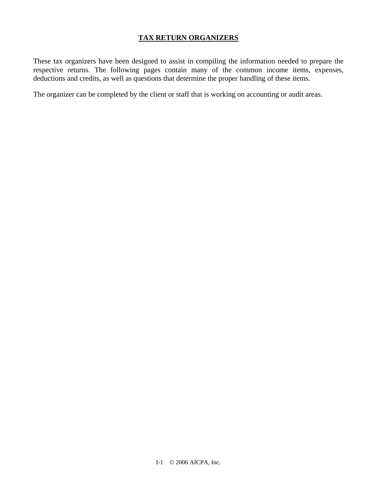## **TAX RETURN ORGANIZERS**

These tax organizers have been designed to assist in compiling the information needed to prepare the respective returns. The following pages contain many of the common income items, expenses, deductions and credits, as well as questions that determine the proper handling of these items.

The organizer can be completed by the client or staff that is working on accounting or audit areas.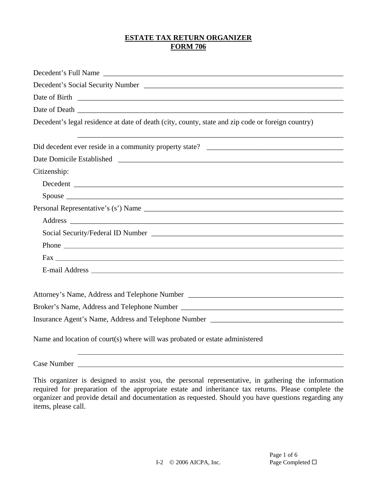# **ESTATE TAX RETURN ORGANIZER FORM 706**

| Decedent's Full Name                                                                              |
|---------------------------------------------------------------------------------------------------|
|                                                                                                   |
|                                                                                                   |
|                                                                                                   |
| Decedent's legal residence at date of death (city, county, state and zip code or foreign country) |
|                                                                                                   |
|                                                                                                   |
| Citizenship:                                                                                      |
|                                                                                                   |
|                                                                                                   |
|                                                                                                   |
|                                                                                                   |
|                                                                                                   |
|                                                                                                   |
|                                                                                                   |
| $\text{Fax}$                                                                                      |
| E-mail Address                                                                                    |
|                                                                                                   |
|                                                                                                   |
| Insurance Agent's Name, Address and Telephone Number ____________________________                 |
| Name and location of court(s) where will was probated or estate administered                      |

Case Number

This organizer is designed to assist you, the personal representative, in gathering the information required for preparation of the appropriate estate and inheritance tax returns. Please complete the organizer and provide detail and documentation as requested. Should you have questions regarding any items, please call.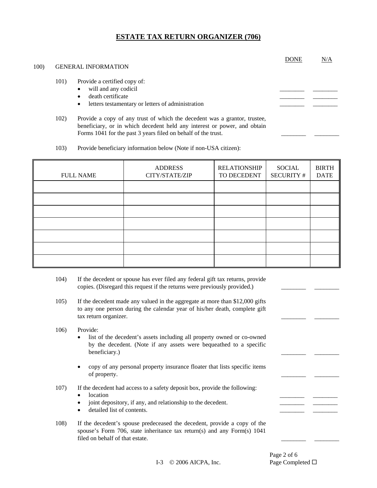| 100) |      | <b>GENERAL INFORMATION</b>                                                                                                                                                                                             | <b>DONE</b> | N/A |
|------|------|------------------------------------------------------------------------------------------------------------------------------------------------------------------------------------------------------------------------|-------------|-----|
|      | 101) | Provide a certified copy of:<br>will and any codicil<br>death certificate<br>letters testamentary or letters of administration                                                                                         |             |     |
|      | 102) | Provide a copy of any trust of which the decedent was a grantor, trustee,<br>beneficiary, or in which decedent held any interest or power, and obtain<br>Forms 1041 for the past 3 years filed on behalf of the trust. |             |     |

103) Provide beneficiary information below (Note if non-USA citizen):

| <b>FULL NAME</b> | <b>ADDRESS</b><br>CITY/STATE/ZIP | <b>RELATIONSHIP</b><br>TO DECEDENT | SOCIAL<br><b>SECURITY #</b> | <b>BIRTH</b><br><b>DATE</b> |
|------------------|----------------------------------|------------------------------------|-----------------------------|-----------------------------|
|                  |                                  |                                    |                             |                             |
|                  |                                  |                                    |                             |                             |
|                  |                                  |                                    |                             |                             |
|                  |                                  |                                    |                             |                             |
|                  |                                  |                                    |                             |                             |
|                  |                                  |                                    |                             |                             |
|                  |                                  |                                    |                             |                             |

- 104) If the decedent or spouse has ever filed any federal gift tax returns, provide copies. (Disregard this request if the returns were previously provided.) \_\_\_\_\_\_\_\_ \_\_\_\_\_\_\_\_
- 105) If the decedent made any valued in the aggregate at more than \$12,000 gifts to any one person during the calendar year of his/her death, complete gift tax return organizer.
- 106) Provide:
	- list of the decedent's assets including all property owned or co-owned by the decedent. (Note if any assets were bequeathed to a specific beneficiary.) \_\_\_\_\_\_\_\_ \_\_\_\_\_\_\_\_
	- copy of any personal property insurance floater that lists specific items of property.
- 107) If the decedent had access to a safety deposit box, provide the following:
	- location \_\_\_\_\_\_\_\_ \_\_\_\_\_\_\_\_
	- joint depository, if any, and relationship to the decedent.
	- detailed list of contents.
- 108) If the decedent's spouse predeceased the decedent, provide a copy of the spouse's Form 706, state inheritance tax return(s) and any Form(s) 1041 filed on behalf of that estate.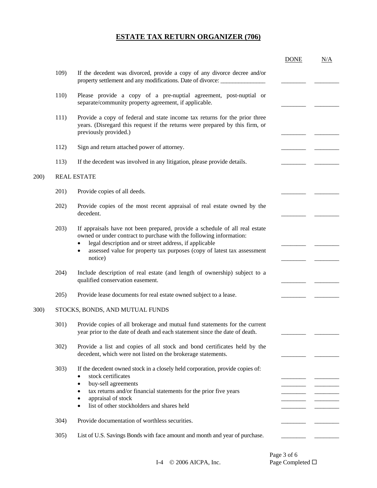|              |                                 |                                                                                                                                                                                                                                                                                                        | <b>DONE</b> | N/A |
|--------------|---------------------------------|--------------------------------------------------------------------------------------------------------------------------------------------------------------------------------------------------------------------------------------------------------------------------------------------------------|-------------|-----|
|              | 109)                            | If the decedent was divorced, provide a copy of any divorce decree and/or<br>property settlement and any modifications. Date of divorce:                                                                                                                                                               |             |     |
|              | 110)                            | Please provide a copy of a pre-nuptial agreement, post-nuptial or<br>separate/community property agreement, if applicable.                                                                                                                                                                             |             |     |
|              | 111)                            | Provide a copy of federal and state income tax returns for the prior three<br>years. (Disregard this request if the returns were prepared by this firm, or<br>previously provided.)                                                                                                                    |             |     |
|              | 112)                            | Sign and return attached power of attorney.                                                                                                                                                                                                                                                            |             |     |
|              | 113)                            | If the decedent was involved in any litigation, please provide details.                                                                                                                                                                                                                                |             |     |
| 200)         | <b>REAL ESTATE</b>              |                                                                                                                                                                                                                                                                                                        |             |     |
|              | 201)                            | Provide copies of all deeds.                                                                                                                                                                                                                                                                           |             |     |
|              | 202)                            | Provide copies of the most recent appraisal of real estate owned by the<br>decedent.                                                                                                                                                                                                                   |             |     |
|              | 203)                            | If appraisals have not been prepared, provide a schedule of all real estate<br>owned or under contract to purchase with the following information:<br>legal description and or street address, if applicable<br>assessed value for property tax purposes (copy of latest tax assessment<br>٠           |             |     |
|              |                                 | notice)                                                                                                                                                                                                                                                                                                |             |     |
|              | 204)                            | Include description of real estate (and length of ownership) subject to a<br>qualified conservation easement.                                                                                                                                                                                          |             |     |
|              | 205)                            | Provide lease documents for real estate owned subject to a lease.                                                                                                                                                                                                                                      |             |     |
| <b>300</b> ) | STOCKS, BONDS, AND MUTUAL FUNDS |                                                                                                                                                                                                                                                                                                        |             |     |
|              | 301)                            | Provide copies of all brokerage and mutual fund statements for the current<br>year prior to the date of death and each statement since the date of death.                                                                                                                                              |             |     |
|              | 302)                            | Provide a list and copies of all stock and bond certificates held by the<br>decedent, which were not listed on the brokerage statements.                                                                                                                                                               |             |     |
|              | 303)                            | If the decedent owned stock in a closely held corporation, provide copies of:<br>stock certificates<br>buy-sell agreements<br>$\bullet$<br>tax returns and/or financial statements for the prior five years<br>٠<br>appraisal of stock<br>٠<br>list of other stockholders and shares held<br>$\bullet$ |             |     |
|              | 304)                            | Provide documentation of worthless securities.                                                                                                                                                                                                                                                         |             |     |
|              | 305)                            | List of U.S. Savings Bonds with face amount and month and year of purchase.                                                                                                                                                                                                                            |             |     |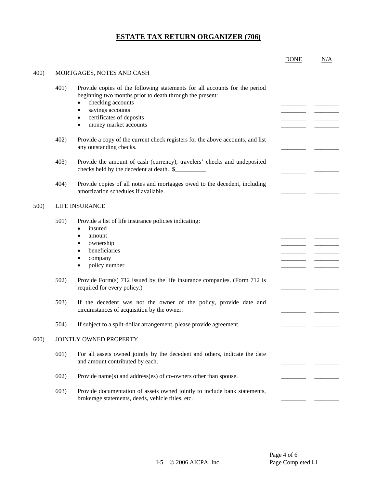|      |      |                                                                                                                                                                                                                                                                                          | <b>DONE</b> | N/A |
|------|------|------------------------------------------------------------------------------------------------------------------------------------------------------------------------------------------------------------------------------------------------------------------------------------------|-------------|-----|
| 400) |      | MORTGAGES, NOTES AND CASH                                                                                                                                                                                                                                                                |             |     |
|      | 401) | Provide copies of the following statements for all accounts for the period<br>beginning two months prior to death through the present:<br>checking accounts<br>$\bullet$<br>savings accounts<br>$\bullet$<br>certificates of deposits<br>$\bullet$<br>money market accounts<br>$\bullet$ |             |     |
|      | 402) | Provide a copy of the current check registers for the above accounts, and list<br>any outstanding checks.                                                                                                                                                                                |             |     |
|      | 403) | Provide the amount of cash (currency), travelers' checks and undeposited<br>checks held by the decedent at death. \$                                                                                                                                                                     |             |     |
|      | 404) | Provide copies of all notes and mortgages owed to the decedent, including<br>amortization schedules if available.                                                                                                                                                                        |             |     |
| 500) |      | LIFE INSURANCE                                                                                                                                                                                                                                                                           |             |     |
|      | 501) | Provide a list of life insurance policies indicating:<br>insured<br>$\bullet$<br>amount<br>$\bullet$<br>ownership<br>٠<br>beneficiaries<br>$\bullet$<br>company<br>٠<br>policy number<br>$\bullet$                                                                                       |             |     |
|      | 502) | Provide Form(s) 712 issued by the life insurance companies. (Form 712 is<br>required for every policy.)                                                                                                                                                                                  |             |     |
|      | 503) | If the decedent was not the owner of the policy, provide date and<br>circumstances of acquisition by the owner.                                                                                                                                                                          |             |     |
|      | 504) | If subject to a split-dollar arrangement, please provide agreement.                                                                                                                                                                                                                      |             |     |
| 600) |      | JOINTLY OWNED PROPERTY                                                                                                                                                                                                                                                                   |             |     |
|      | 601) | For all assets owned jointly by the decedent and others, indicate the date<br>and amount contributed by each.                                                                                                                                                                            |             |     |
|      | 602) | Provide name(s) and address(es) of co-owners other than spouse.                                                                                                                                                                                                                          |             |     |
|      | 603) | Provide documentation of assets owned jointly to include bank statements,<br>brokerage statements, deeds, vehicle titles, etc.                                                                                                                                                           |             |     |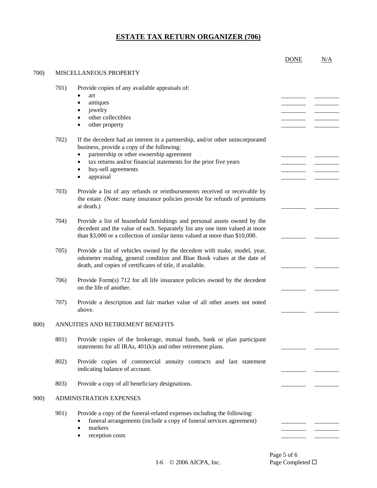|      |                         |                                                                                                                                                                                                                                                                                                                        | <b>DONE</b> | N/A |
|------|-------------------------|------------------------------------------------------------------------------------------------------------------------------------------------------------------------------------------------------------------------------------------------------------------------------------------------------------------------|-------------|-----|
| 700) | MISCELLANEOUS PROPERTY  |                                                                                                                                                                                                                                                                                                                        |             |     |
|      | 701)                    | Provide copies of any available appraisals of:<br>art<br>antiques<br>$\bullet$<br>jewelry<br>other collectibles<br>other property<br>$\bullet$                                                                                                                                                                         |             |     |
|      | 702)                    | If the decedent had an interest in a partnership, and/or other unincorporated<br>business, provide a copy of the following:<br>partnership or other ownership agreement<br>tax returns and/or financial statements for the prior five years<br>$\bullet$<br>buy-sell agreements<br>$\bullet$<br>appraisal<br>$\bullet$ |             |     |
|      | 703)                    | Provide a list of any refunds or reimbursements received or receivable by<br>the estate. (Note: many insurance policies provide for refunds of premiums<br>at death.)                                                                                                                                                  |             |     |
|      | 704)                    | Provide a list of household furnishings and personal assets owned by the<br>decedent and the value of each. Separately list any one item valued at more<br>than \$3,000 or a collection of similar items valued at more than \$10,000.                                                                                 |             |     |
|      | 705)                    | Provide a list of vehicles owned by the decedent with make, model, year,<br>odometer reading, general condition and Blue Book values at the date of<br>death, and copies of certificates of title, if available.                                                                                                       |             |     |
|      | 706)                    | Provide Form(s) 712 for all life insurance policies owned by the decedent<br>on the life of another.                                                                                                                                                                                                                   |             |     |
|      | 707)                    | Provide a description and fair market value of all other assets not noted<br>above.                                                                                                                                                                                                                                    |             |     |
| 800) |                         | ANNUITIES AND RETIREMENT BENEFITS                                                                                                                                                                                                                                                                                      |             |     |
|      | 801)                    | Provide copies of the brokerage, mutual funds, bank or plan participant<br>statements for all IRAs, 401(k)s and other retirement plans.                                                                                                                                                                                |             |     |
|      | 802)                    | Provide copies of commercial annuity contracts and last statement<br>indicating balance of account.                                                                                                                                                                                                                    |             |     |
|      | 803)                    | Provide a copy of all beneficiary designations.                                                                                                                                                                                                                                                                        |             |     |
| 900) | ADMINISTRATION EXPENSES |                                                                                                                                                                                                                                                                                                                        |             |     |
|      | 901)                    | Provide a copy of the funeral-related expenses including the following:<br>funeral arrangements (include a copy of funeral services agreement)<br>markers<br>$\bullet$<br>reception costs                                                                                                                              |             |     |